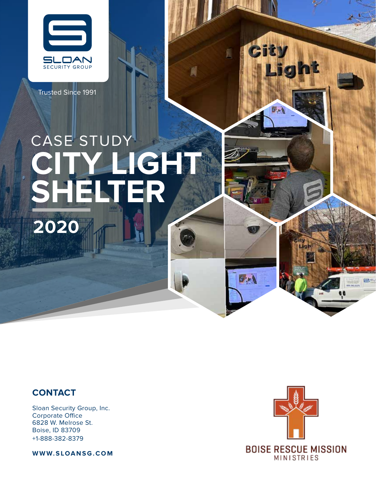

Trusted Since 1991

# CASE STUDY **CITY LIGHT SHELTER 2020**

#### **CONTACT**

Sloan Security Group, Inc. Corporate Office 6828 W. Melrose St. Boise, ID 83709 +1-888-382-8379

**WWW.SLOANSG.COM**



 $5 - 1$ 

 $\sigma$  or  $\lambda$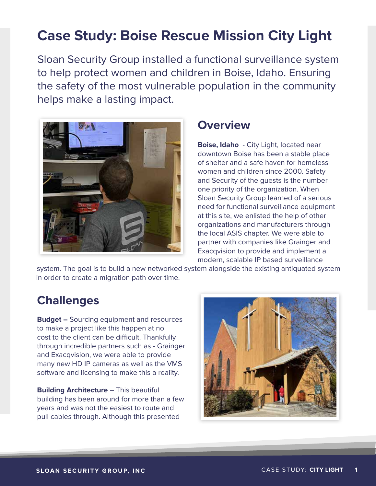## **Case Study: Boise Rescue Mission City Light**

Sloan Security Group installed a functional surveillance system to help protect women and children in Boise, Idaho. Ensuring the safety of the most vulnerable population in the community helps make a lasting impact.



#### **Overview**

**Boise, Idaho** - City Light, located near downtown Boise has been a stable place of shelter and a safe haven for homeless women and children since 2000. Safety and Security of the guests is the number one priority of the organization. When Sloan Security Group learned of a serious need for functional surveillance equipment at this site, we enlisted the help of other organizations and manufacturers through the local ASIS chapter. We were able to partner with companies like Grainger and Exacqvision to provide and implement a modern, scalable IP based surveillance

system. The goal is to build a new networked system alongside the existing antiquated system in order to create a migration path over time.

#### **Challenges**

**Budget –** Sourcing equipment and resources to make a project like this happen at no cost to the client can be difficult. Thankfully through incredible partners such as - Grainger and Exacqvision, we were able to provide many new HD IP cameras as well as the VMS software and licensing to make this a reality.

**Building Architecture** – This beautiful building has been around for more than a few years and was not the easiest to route and pull cables through. Although this presented